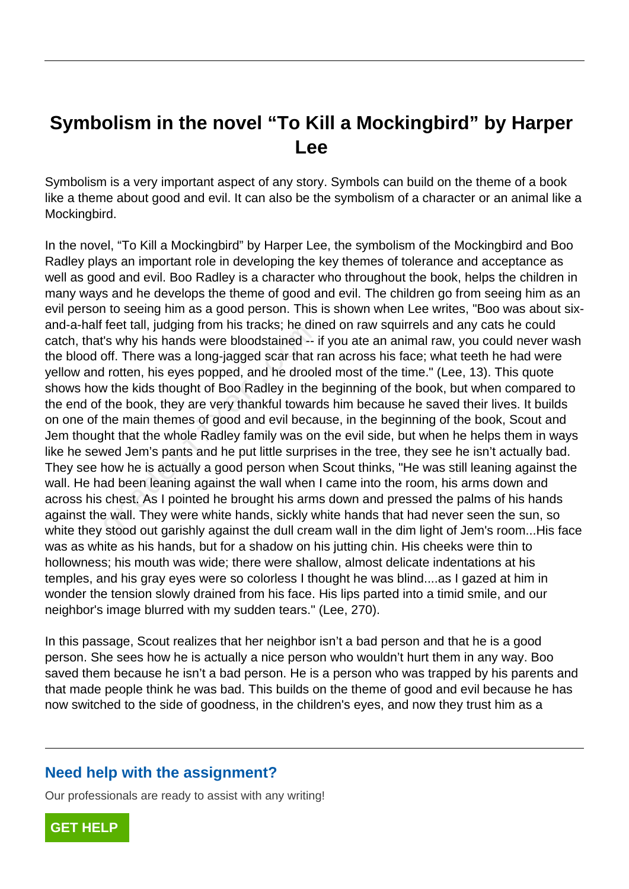## **Symbolism in the novel "To Kill a Mockingbird" by Harper Lee**

Symbolism is a very important aspect of any story. Symbols can build on the theme of a book like a theme about good and evil. It can also be the symbolism of a character or an animal like a Mockingbird.

In the novel, "To Kill a Mockingbird" by Harper Lee, the symbolism of the Mockingbird and Boo Radley plays an important role in developing the key themes of tolerance and acceptance as well as good and evil. Boo Radley is a character who throughout the book, helps the children in many ways and he develops the theme of good and evil. The children go from seeing him as an evil person to seeing him as a good person. This is shown when Lee writes, "Boo was about sixand-a-half feet tall, judging from his tracks; he dined on raw squirrels and any cats he could catch, that's why his hands were bloodstained -- if you ate an animal raw, you could never wash the blood off. There was a long-jagged scar that ran across his face; what teeth he had were yellow and rotten, his eyes popped, and he drooled most of the time." (Lee, 13). This quote shows how the kids thought of Boo Radley in the beginning of the book, but when compared to the end of the book, they are very thankful towards him because he saved their lives. It builds on one of the main themes of good and evil because, in the beginning of the book, Scout and Jem thought that the whole Radley family was on the evil side, but when he helps them in ways like he sewed Jem's pants and he put little surprises in the tree, they see he isn't actually bad. They see how he is actually a good person when Scout thinks, "He was still leaning against the wall. He had been leaning against the wall when I came into the room, his arms down and across his chest. As I pointed he brought his arms down and pressed the palms of his hands against the wall. They were white hands, sickly white hands that had never seen the sun, so white they stood out garishly against the dull cream wall in the dim light of Jem's room...His face was as white as his hands, but for a shadow on his jutting chin. His cheeks were thin to hollowness; his mouth was wide; there were shallow, almost delicate indentations at his temples, and his gray eyes were so colorless I thought he was blind....as I gazed at him in wonder the tension slowly drained from his face. His lips parted into a timid smile, and our neighbor's image blurred with my sudden tears." (Lee, 270). The train, judging from his tracks, he diff is why his hands were bloodstained --<br>off. There was a long-jagged scar that if rotten, his eyes popped, and he drook<br>w the kids thought of Boo Radley in the<br>the book, they are v

In this passage, Scout realizes that her neighbor isn't a bad person and that he is a good person. She sees how he is actually a nice person who wouldn't hurt them in any way. Boo saved them because he isn't a bad person. He is a person who was trapped by his parents and that made people think he was bad. This builds on the theme of good and evil because he has now switched to the side of goodness, in the children's eyes, and now they trust him as a

## **Need help with the assignment?**

Our professionals are ready to assist with any writing!

**[GET HELP](https://my.gradesfixer.com/order?utm_campaign=pdf_sample)**